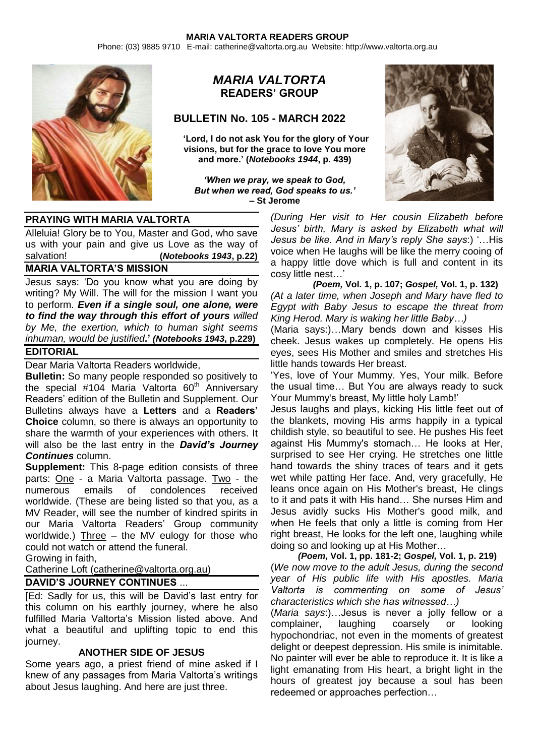Phone: (03) 9885 9710 E-mail: catherine@valtorta.org.au Website: http://www.valtorta.org.au



# *MARIA VALTORTA* **READERS' GROUP**

### **BULLETIN No. 105 - MARCH 2022**

**'Lord, I do not ask You for the glory of Your visions, but for the grace to love You more and more.' (***Notebooks 1944***, p. 439)**

*'When we pray, we speak to God, But when we read, God speaks to us.'* **– St Jerome**



#### **PRAYING WITH MARIA VALTORTA**

Alleluia! Glory be to You, Master and God, who save us with your pain and give us Love as the way of salvation! **(***Notebooks 1943***, p.22)**

### **MARIA VALTORTA'S MISSION**

Jesus says: 'Do you know what you are doing by writing? My Will. The will for the mission I want you to perform. *Even if a single soul, one alone, were to find the way through this effort of yours willed by Me, the exertion, which to human sight seems inhuman, would be justified***.'** *(Notebooks 1943***, p.229)**

### **EDITORIAL**

Dear Maria Valtorta Readers worldwide,

**Bulletin:** So many people responded so positively to the special  $#104$  Maria Valtorta  $60<sup>th</sup>$  Anniversary Readers' edition of the Bulletin and Supplement. Our Bulletins always have a **Letters** and a **Readers' Choice** column, so there is always an opportunity to share the warmth of your experiences with others. It will also be the last entry in the *David's Journey Continues* column.

**Supplement:** This 8-page edition consists of three parts: One - a Maria Valtorta passage. Two - the numerous emails of condolences received worldwide. (These are being listed so that you, as a MV Reader, will see the number of kindred spirits in our Maria Valtorta Readers' Group community worldwide.) Three – the MV eulogy for those who could not watch or attend the funeral.

Growing in faith,

Catherine Loft [\(catherine@valtorta.org.au\)](mailto:catherine@valtorta.org.au)

## **DAVID'S JOURNEY CONTINUES** ...

[Ed: Sadly for us, this will be David's last entry for this column on his earthly journey, where he also fulfilled Maria Valtorta's Mission listed above. And what a beautiful and uplifting topic to end this journey.

### **ANOTHER SIDE OF JESUS**

Some years ago, a priest friend of mine asked if I knew of any passages from Maria Valtorta's writings about Jesus laughing. And here are just three.

*(During Her visit to Her cousin Elizabeth before Jesus' birth, Mary is asked by Elizabeth what will Jesus be like. And in Mary's reply She says*:) '…His voice when He laughs will be like the merry cooing of a happy little dove which is full and content in its cosy little nest…'

 *(Poem,* **Vol. 1, p. 107;** *Gospel,* **Vol. 1, p. 132)** *(At a later time, when Joseph and Mary have fled to Egypt with Baby Jesus to escape the threat from King Herod. Mary is waking her little Baby…)*

(Maria says:)…Mary bends down and kisses His cheek. Jesus wakes up completely. He opens His eyes, sees His Mother and smiles and stretches His little hands towards Her breast.

'Yes, love of Your Mummy. Yes, Your milk. Before the usual time… But You are always ready to suck Your Mummy's breast, My little holy Lamb!'

Jesus laughs and plays, kicking His little feet out of the blankets, moving His arms happily in a typical childish style, so beautiful to see. He pushes His feet against His Mummy's stomach… He looks at Her, surprised to see Her crying. He stretches one little hand towards the shiny traces of tears and it gets wet while patting Her face. And, very gracefully, He leans once again on His Mother's breast, He clings to it and pats it with His hand… She nurses Him and Jesus avidly sucks His Mother's good milk, and when He feels that only a little is coming from Her right breast, He looks for the left one, laughing while doing so and looking up at His Mother…

 *(Poem,* **Vol. 1, pp. 181-2;** *Gospel,* **Vol. 1, p. 219)** (*We now move to the adult Jesus, during the second year of His public life with His apostles. Maria Valtorta is commenting on some of Jesus' characteristics which she has witnessed…)*

(*Maria says*:)…Jesus is never a jolly fellow or a complainer, laughing coarsely or looking hypochondriac, not even in the moments of greatest delight or deepest depression. His smile is inimitable. No painter will ever be able to reproduce it. It is like a light emanating from His heart, a bright light in the hours of greatest joy because a soul has been redeemed or approaches perfection…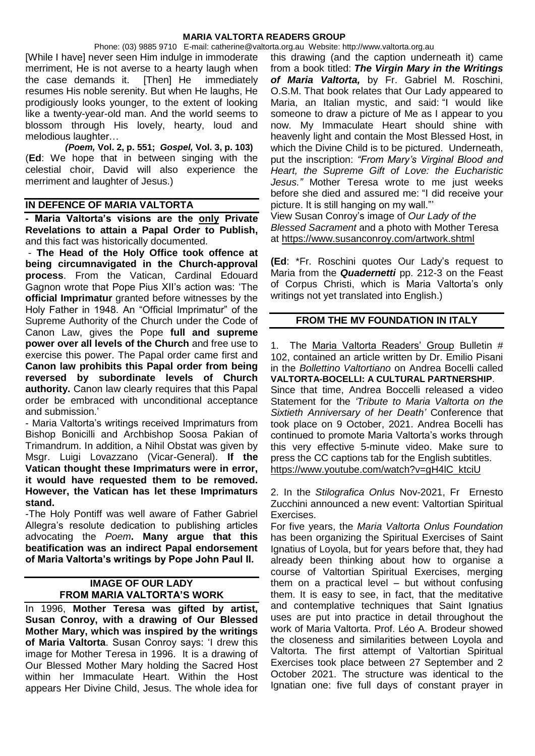Phone: (03) 9885 9710 E-mail: catherine@valtorta.org.au Website: http://www.valtorta.org.au [While I have] never seen Him indulge in immoderate merriment, He is not averse to a hearty laugh when the case demands it. [Then] He immediately resumes His noble serenity. But when He laughs, He prodigiously looks younger, to the extent of looking like a twenty-year-old man. And the world seems to blossom through His lovely, hearty, loud and melodious laughter…

 *(Poem,* **Vol. 2, p. 551;** *Gospel,* **Vol. 3, p. 103)** (**Ed**: We hope that in between singing with the celestial choir, David will also experience the merriment and laughter of Jesus.)

### **IN DEFENCE OF MARIA VALTORTA**

**- Maria Valtorta's visions are the only Private Revelations to attain a Papal Order to Publish,** and this fact was historically documented.

- **The Head of the Holy Office took offence at being circumnavigated in the Church-approval process**. From the Vatican, Cardinal Edouard Gagnon wrote that Pope Pius XII's action was: 'The **official Imprimatur** granted before witnesses by the Holy Father in 1948. An "Official Imprimatur" of the Supreme Authority of the Church under the Code of Canon Law, gives the Pope **full and supreme power over all levels of the Church** and free use to exercise this power. The Papal order came first and **Canon law prohibits this Papal order from being reversed by subordinate levels of Church authority.** Canon law clearly requires that this Papal order be embraced with unconditional acceptance and submission.'

- Maria Valtorta's writings received Imprimaturs from Bishop Bonicilli and Archbishop Soosa Pakian of Trimandrum. In addition, a Nihil Obstat was given by Msgr. Luigi Lovazzano (Vicar-General). **If the Vatican thought these Imprimaturs were in error, it would have requested them to be removed. However, the Vatican has let these Imprimaturs stand.**

-The Holy Pontiff was well aware of Father Gabriel Allegra's resolute dedication to publishing articles advocating the *Poem***. Many argue that this beatification was an indirect Papal endorsement of Maria Valtorta's writings by Pope John Paul II.**

### **IMAGE OF OUR LADY FROM MARIA VALTORTA'S WORK**

In 1996, **Mother Teresa was gifted by artist, Susan Conroy, with a drawing of Our Blessed Mother Mary, which was inspired by the writings of Maria Valtorta**. Susan Conroy says: 'I drew this image for Mother Teresa in 1996. It is a drawing of Our Blessed Mother Mary holding the Sacred Host within her Immaculate Heart. Within the Host appears Her Divine Child, Jesus. The whole idea for

this drawing (and the caption underneath it) came from a book titled: *[The Virgin Mary in the Writings](http://valtorta.alphalink.com.au/Books_Booklets%20and%20Audios.htm#THE%20VIRGIN%20MARY%20IN%20THE%20WRITINGS%20OF%20MARIA%20VALTORTA)  [of Maria Valtorta,](http://valtorta.alphalink.com.au/Books_Booklets%20and%20Audios.htm#THE%20VIRGIN%20MARY%20IN%20THE%20WRITINGS%20OF%20MARIA%20VALTORTA)* by Fr. Gabriel M. Roschini, O.S.M. That book relates that Our Lady appeared to Maria, an Italian mystic, and said: "I would like someone to draw a picture of Me as I appear to you now. My Immaculate Heart should shine with heavenly light and contain the Most Blessed Host, in which the Divine Child is to be pictured. Underneath, put the inscription: *"From Mary's Virginal Blood and Heart, the Supreme Gift of Love: the Eucharistic Jesus."* Mother Teresa wrote to me just weeks before she died and assured me: "I did receive your picture. It is still hanging on my wall."'

View Susan Conroy's image of *Our Lady of the Blessed Sacrament* and a photo with Mother Teresa at <https://www.susanconroy.com/artwork.shtml>

**(Ed**: \*Fr. Roschini quotes Our Lady's request to Maria from the *Quadernetti* pp. 212-3 on the Feast of Corpus Christi, which is Maria Valtorta's only writings not yet translated into English.)

### **FROM THE MV FOUNDATION IN ITALY**

1. The Maria Valtorta Readers' Group Bulletin # 102, contained an article written by Dr. Emilio Pisani in the *Bollettino Valtortiano* on Andrea Bocelli called **VALTORTA-BOCELLI: A CULTURAL PARTNERSHIP**. Since that time, Andrea Boccelli released a video Statement for the *'Tribute to Maria Valtorta on the Sixtieth Anniversary of her Death'* Conference that took place on 9 October, 2021. Andrea Bocelli has continued to promote Maria Valtorta's works through this very effective 5-minute video. Make sure to press the CC captions tab for the English subtitles. [https://www.youtube.com/watch?v=gH4lC\\_ktciU](https://www.youtube.com/watch?v=gH4lC_ktciU)

2. In the *Stilografica Onlus* Nov-2021, Fr Ernesto Zucchini announced a new event: Valtortian Spiritual Exercises.

For five years, the *Maria Valtorta Onlus Foundation* has been organizing the Spiritual Exercises of Saint Ignatius of Loyola, but for years before that, they had already been thinking about how to organise a course of Valtortian Spiritual Exercises, merging them on a practical level – but without confusing them. It is easy to see, in fact, that the meditative and contemplative techniques that Saint Ignatius uses are put into practice in detail throughout the work of Maria Valtorta. Prof. Léo A. Brodeur showed the closeness and similarities between Loyola and Valtorta. The first attempt of Valtortian Spiritual Exercises took place between 27 September and 2 October 2021. The structure was identical to the Ignatian one: five full days of constant prayer in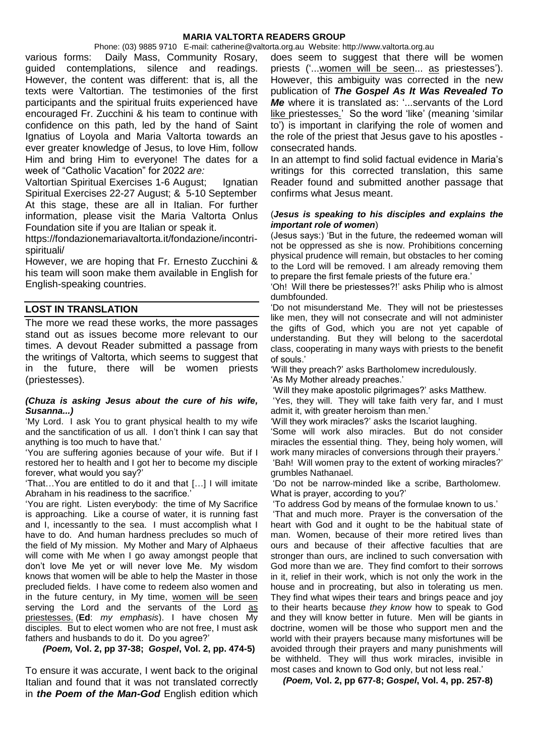Phone: (03) 9885 9710 E-mail: catherine@valtorta.org.au Website: http://www.valtorta.org.au various forms: Daily Mass, Community Rosary, guided contemplations, silence and readings. However, the content was different: that is, all the texts were Valtortian. The testimonies of the first participants and the spiritual fruits experienced have encouraged Fr. Zucchini & his team to continue with confidence on this path, led by the hand of Saint Ignatius of Loyola and Maria Valtorta towards an ever greater knowledge of Jesus, to love Him, follow Him and bring Him to everyone! The dates for a week of "Catholic Vacation" for 2022 *are:*

Valtortian Spiritual Exercises 1-6 August; Ignatian Spiritual Exercises 22-27 August; & 5-10 September At this stage, these are all in Italian. For further information, please visit the Maria Valtorta Onlus Foundation site if you are Italian or speak it.

https://fondazionemariavaltorta.it/fondazione/incontrispirituali/

However, we are hoping that Fr. Ernesto Zucchini & his team will soon make them available in English for English-speaking countries.

### **LOST IN TRANSLATION**

The more we read these works, the more passages stand out as issues become more relevant to our times. A devout Reader submitted a passage from the writings of Valtorta, which seems to suggest that in the future, there will be women priests (priestesses).

#### *(Chuza is asking Jesus about the cure of his wife, Susanna...)*

'My Lord. I ask You to grant physical health to my wife and the sanctification of us all. I don't think I can say that anything is too much to have that.'

'You are suffering agonies because of your wife. But if I restored her to health and I got her to become my disciple forever, what would you say?'

'That…You are entitled to do it and that […] I will imitate Abraham in his readiness to the sacrifice.'

'You are right. Listen everybody: the time of My Sacrifice is approaching. Like a course of water, it is running fast and I, incessantly to the sea. I must accomplish what I have to do. And human hardness precludes so much of the field of My mission. My Mother and Mary of Alphaeus will come with Me when I go away amongst people that don't love Me yet or will never love Me. My wisdom knows that women will be able to help the Master in those precluded fields. I have come to redeem also women and in the future century, in My time, women will be seen serving the Lord and the servants of the Lord as priestesses. (**Ed**: *my emphasis*). I have chosen My disciples. But to elect women who are not free, I must ask fathers and husbands to do it. Do you agree?'

 *(Poem,* **Vol. 2, pp 37-38;** *Gospel***, Vol. 2, pp. 474-5)**

To ensure it was accurate, I went back to the original Italian and found that it was not translated correctly in *the Poem of the Man-God* English edition which does seem to suggest that there will be women priests ('... women will be seen... as priestesses'). However, this ambiguity was corrected in the new publication of *The Gospel As It Was Revealed To Me* where it is translated as: '...servants of the Lord like priestesses.' So the word 'like' (meaning 'similar to') is important in clarifying the role of women and the role of the priest that Jesus gave to his apostles consecrated hands.

In an attempt to find solid factual evidence in Maria's writings for this corrected translation, this same Reader found and submitted another passage that confirms what Jesus meant.

#### (*Jesus is speaking to his disciples and explains the important role of women*)

(Jesus says:) 'But in the future, the redeemed woman will not be oppressed as she is now. Prohibitions concerning physical prudence will remain, but obstacles to her coming to the Lord will be removed. I am already removing them to prepare the first female priests of the future era.'

'Oh! Will there be priestesses?!' asks Philip who is almost dumbfounded.

'Do not misunderstand Me. They will not be priestesses like men, they will not consecrate and will not administer the gifts of God, which you are not yet capable of understanding. But they will belong to the sacerdotal class, cooperating in many ways with priests to the benefit of souls.'

'Will they preach?' asks Bartholomew incredulously.

'As My Mother already preaches.'

'Will they make apostolic pilgrimages?' asks Matthew.

'Yes, they will. They will take faith very far, and I must admit it, with greater heroism than men.'

'Will they work miracles?' asks the Iscariot laughing.

'Some will work also miracles. But do not consider miracles the essential thing. They, being holy women, will work many miracles of conversions through their prayers.' 'Bah! Will women pray to the extent of working miracles?'

grumbles Nathanael.

'Do not be narrow-minded like a scribe, Bartholomew. What is prayer, according to you?'

'To address God by means of the formulae known to us.'

'That and much more. Prayer is the conversation of the heart with God and it ought to be the habitual state of man. Women, because of their more retired lives than ours and because of their affective faculties that are stronger than ours, are inclined to such conversation with God more than we are. They find comfort to their sorrows in it, relief in their work, which is not only the work in the house and in procreating, but also in tolerating us men. They find what wipes their tears and brings peace and joy to their hearts because *they know* how to speak to God and they will know better in future. Men will be giants in doctrine, women will be those who support men and the world with their prayers because many misfortunes will be avoided through their prayers and many punishments will be withheld. They will thus work miracles, invisible in most cases and known to God only, but not less real.'

*(Poem,* **Vol. 2, pp 677-8;** *Gospel***, Vol. 4, pp. 257-8)**